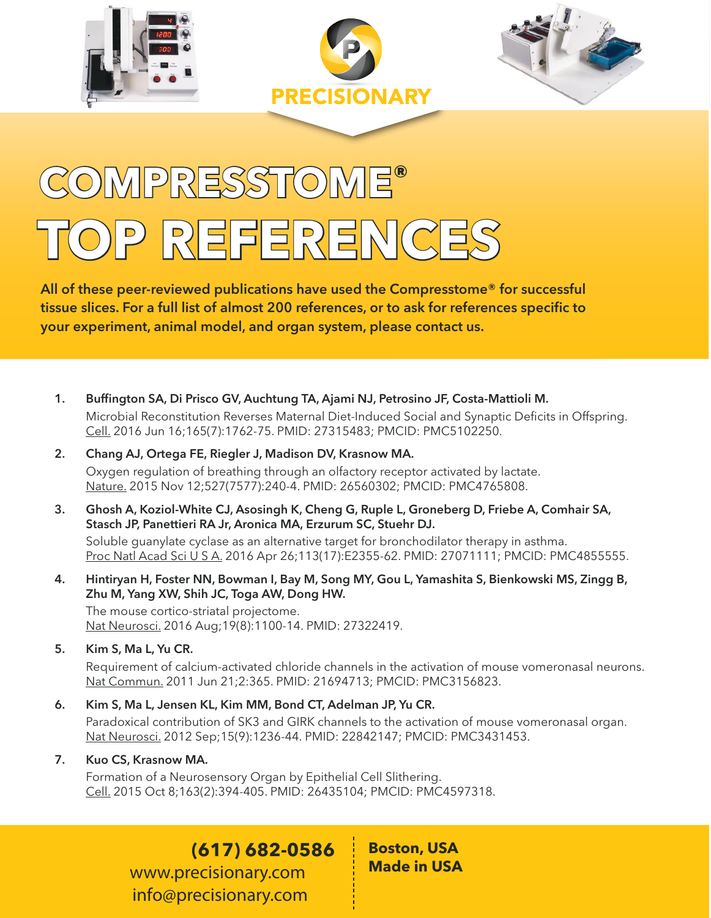





# **COMPRESSTOME® TOP REFERENCES**

All of these peer-reviewed publications have used the Compresstome® for successful tissue slices. For a full list of almost 200 references, or to ask for references specific to your experiment, animal model, and organ system, please contact us.

- 1. Buffington SA, Di Prisco GV, Auchtung TA, Ajami NJ, Petrosino JF, Costa-Mattioli M. Microbial Reconstitution Reverses Maternal Diet-Induced Social and Synaptic Deficits in Offspring. Cell. 2016 Jun 16;165(7):1762-75. PMID: 27315483; PMCID: PMC5102250.
- 2. Chang AJ, Ortega FE, Riegler J, Madison DV, Krasnow MA. Oxygen regulation of breathing through an olfactory receptor activated by lactate. Nature. 2015 Nov 12;527(7577):240-4. PMID: 26560302; PMCID: PMC4765808.
- 3. Ghosh A, Koziol-White CJ, Asosingh K, Cheng G, Ruple L, Groneberg D, Friebe A, Comhair SA, Stasch JP, Panettieri RA Jr, Aronica MA, Erzurum SC, Stuehr DJ.

Soluble guanylate cyclase as an alternative target for bronchodilator therapy in asthma. Proc Natl Acad Sci U S A. 2016 Apr 26;113(17):E2355-62. PMID: 27071111; PMCID: PMC4855555.

4. Hintiryan H, Foster NN, Bowman I, Bay M, Song MY, Gou L, Yamashita S, Bienkowski MS, Zingg B, Zhu M, Yang XW, Shih JC, Toga AW, Dong HW.

The mouse cortico-striatal projectome. Nat Neurosci. 2016 Aug;19(8):1100-14. PMID: 27322419.

### 5. Kim S, Ma L, Yu CR.

Requirement of calcium-activated chloride channels in the activation of mouse vomeronasal neurons. Nat Commun. 2011 Jun 21;2:365. PMID: 21694713; PMCID: PMC3156823.

#### 6. Kim S, Ma L, Jensen KL, Kim MM, Bond CT, Adelman JP, Yu CR.

Paradoxical contribution of SK3 and GIRK channels to the activation of mouse vomeronasal organ. Nat Neurosci. 2012 Sep;15(9):1236-44. PMID: 22842147; PMCID: PMC3431453.

#### 7. Kuo CS, Krasnow MA.

Formation of a Neurosensory Organ by Epithelial Cell Slithering. Cell. 2015 Oct 8;163(2):394-405. PMID: 26435104; PMCID: PMC4597318.

## **(617) 682-0586**

**www.precisionary.com info@precisionary.com** **Boston, USA Made in USA**